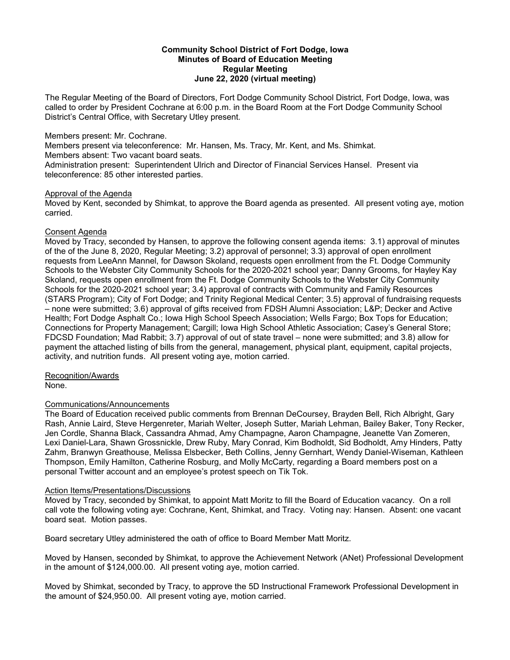#### **Community School District of Fort Dodge, Iowa Minutes of Board of Education Meeting Regular Meeting June 22, 2020 (virtual meeting)**

The Regular Meeting of the Board of Directors, Fort Dodge Community School District, Fort Dodge, Iowa, was called to order by President Cochrane at 6:00 p.m. in the Board Room at the Fort Dodge Community School District's Central Office, with Secretary Utley present.

### Members present: Mr. Cochrane.

Members present via teleconference: Mr. Hansen, Ms. Tracy, Mr. Kent, and Ms. Shimkat.

Members absent: Two vacant board seats.

Administration present: Superintendent Ulrich and Director of Financial Services Hansel. Present via teleconference: 85 other interested parties.

## Approval of the Agenda

Moved by Kent, seconded by Shimkat, to approve the Board agenda as presented. All present voting aye, motion carried.

## Consent Agenda

Moved by Tracy, seconded by Hansen, to approve the following consent agenda items: 3.1) approval of minutes of the of the June 8, 2020, Regular Meeting; 3.2) approval of personnel; 3.3) approval of open enrollment requests from LeeAnn Mannel, for Dawson Skoland, requests open enrollment from the Ft. Dodge Community Schools to the Webster City Community Schools for the 2020-2021 school year; Danny Grooms, for Hayley Kay Skoland, requests open enrollment from the Ft. Dodge Community Schools to the Webster City Community Schools for the 2020-2021 school year; 3.4) approval of contracts with Community and Family Resources (STARS Program); City of Fort Dodge; and Trinity Regional Medical Center; 3.5) approval of fundraising requests – none were submitted; 3.6) approval of gifts received from FDSH Alumni Association; L&P; Decker and Active Health; Fort Dodge Asphalt Co.; Iowa High School Speech Association; Wells Fargo; Box Tops for Education; Connections for Property Management; Cargill; Iowa High School Athletic Association; Casey's General Store; FDCSD Foundation; Mad Rabbit; 3.7) approval of out of state travel – none were submitted; and 3.8) allow for payment the attached listing of bills from the general, management, physical plant, equipment, capital projects, activity, and nutrition funds. All present voting aye, motion carried.

# Recognition/Awards

None.

## Communications/Announcements

The Board of Education received public comments from Brennan DeCoursey, Brayden Bell, Rich Albright, Gary Rash, Annie Laird, Steve Hergenreter, Mariah Welter, Joseph Sutter, Mariah Lehman, Bailey Baker, Tony Recker, Jen Cordle, Shanna Black, Cassandra Ahmad, Amy Champagne, Aaron Champagne, Jeanette Van Zomeren, Lexi Daniel-Lara, Shawn Grossnickle, Drew Ruby, Mary Conrad, Kim Bodholdt, Sid Bodholdt, Amy Hinders, Patty Zahm, Branwyn Greathouse, Melissa Elsbecker, Beth Collins, Jenny Gernhart, Wendy Daniel-Wiseman, Kathleen Thompson, Emily Hamilton, Catherine Rosburg, and Molly McCarty, regarding a Board members post on a personal Twitter account and an employee's protest speech on Tik Tok.

## Action Items/Presentations/Discussions

Moved by Tracy, seconded by Shimkat, to appoint Matt Moritz to fill the Board of Education vacancy. On a roll call vote the following voting aye: Cochrane, Kent, Shimkat, and Tracy. Voting nay: Hansen. Absent: one vacant board seat. Motion passes.

Board secretary Utley administered the oath of office to Board Member Matt Moritz.

Moved by Hansen, seconded by Shimkat, to approve the Achievement Network (ANet) Professional Development in the amount of \$124,000.00. All present voting aye, motion carried.

Moved by Shimkat, seconded by Tracy, to approve the 5D Instructional Framework Professional Development in the amount of \$24,950.00. All present voting aye, motion carried.